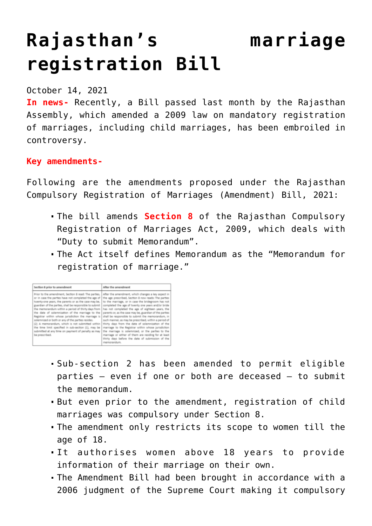# **[Rajasthan's marriage](https://journalsofindia.com/rajasthans-marriage-registration-bill/) [registration Bill](https://journalsofindia.com/rajasthans-marriage-registration-bill/)**

#### October 14, 2021

**In news-** Recently, a Bill passed last month by the Rajasthan Assembly, which amended a 2009 law on mandatory registration of marriages, including child marriages, has been embroiled in controversy.

### **Key amendments-**

Following are the amendments proposed under the Rajasthan Compulsory Registration of Marriages (Amendment) Bill, 2021:

- The bill amends **Section 8** of the Rajasthan Compulsory Registration of Marriages Act, 2009, which deals with "Duty to submit Memorandum".
- The Act itself defines Memorandum as the "Memorandum for registration of marriage."

| Section 8 prior to amendment                                                                                                                                                                                                                                                                                                                                                                                                                                                                                                                                                                                                            | After the amendment                                                                                                                                                                                                                                                                                                                                                                                                                                                                                                                                                                                                                                                                                                                             |
|-----------------------------------------------------------------------------------------------------------------------------------------------------------------------------------------------------------------------------------------------------------------------------------------------------------------------------------------------------------------------------------------------------------------------------------------------------------------------------------------------------------------------------------------------------------------------------------------------------------------------------------------|-------------------------------------------------------------------------------------------------------------------------------------------------------------------------------------------------------------------------------------------------------------------------------------------------------------------------------------------------------------------------------------------------------------------------------------------------------------------------------------------------------------------------------------------------------------------------------------------------------------------------------------------------------------------------------------------------------------------------------------------------|
| Prior to the amendment, Section 8 read: The parties,<br>or in case the parties have not completed the age of<br>twenty-one years, the parents or as the case may be,<br>guardian of the parties, shall be responsible to submit<br>the memorandum within a period of thirty days from<br>the date of solemnization of the marriage to the<br>Registrar within whose jurisdiction the marriage is<br>solemnized or both or any of the parties resides.<br>(2) A memorandum, which is not submitted within<br>the time limit specified in sub-section (1), may be<br>submitted at any time on payment of penalty as may<br>be prescribed. | After the amendment, which changes a key aspect in<br>the age prescribed, Section 8 now reads: The parties<br>to the marriage, or in case the bridegroom has not<br>completed the age of twenty one years and/or bride<br>has not completed the age of eighteen years, the<br>parents or, as the case may be, guardian of the parties<br>shall be responsible to submit the memorandum, in<br>such manner, as may be prescribed, within a period of<br>thirty days from the date of solemnization of the<br>marriage to the Registrar within whose jurisdiction<br>the marriage is solemnized, or the parties to the<br>marriage or either of them are residing for at least<br>thirty days before the date of submission of the<br>memorandum. |

- Sub-section 2 has been amended to permit eligible parties — even if one or both are deceased — to submit the memorandum.
- But even prior to the amendment, registration of child marriages was compulsory under Section 8.
- The amendment only restricts its scope to women till the age of 18.
- It authorises women above 18 years to provide information of their marriage on their own.
- The Amendment Bill had been brought in accordance with a 2006 judgment of the Supreme Court making it compulsory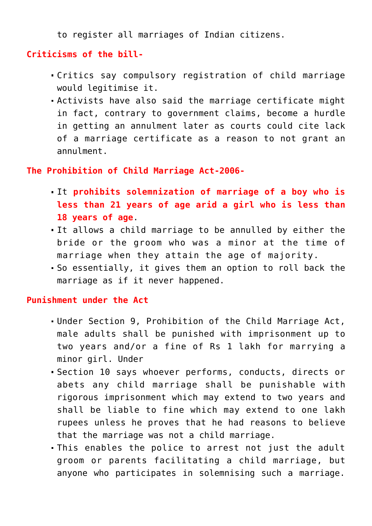to register all marriages of Indian citizens.

## **Criticisms of the bill-**

- Critics say compulsory registration of child marriage would legitimise it.
- Activists have also said the marriage certificate might in fact, contrary to government claims, become a hurdle in getting an annulment later as courts could cite lack of a marriage certificate as a reason to not grant an annulment.

### **The Prohibition of Child Marriage Act-2006-**

- It **prohibits solemnization of marriage of a boy who is less than 21 years of age arid a girl who is less than 18 years of age**.
- It allows a child marriage to be annulled by either the bride or the groom who was a minor at the time of marriage when they attain the age of majority.
- So essentially, it gives them an option to roll back the marriage as if it never happened.

#### **Punishment under the Act**

- Under Section 9, Prohibition of the Child Marriage Act, male adults shall be punished with imprisonment up to two years and/or a fine of Rs 1 lakh for marrying a minor girl. Under
- Section 10 says whoever performs, conducts, directs or abets any child marriage shall be punishable with rigorous imprisonment which may extend to two years and shall be liable to fine which may extend to one lakh rupees unless he proves that he had reasons to believe that the marriage was not a child marriage.
- This enables the police to arrest not just the adult groom or parents facilitating a child marriage, but anyone who participates in solemnising such a marriage.